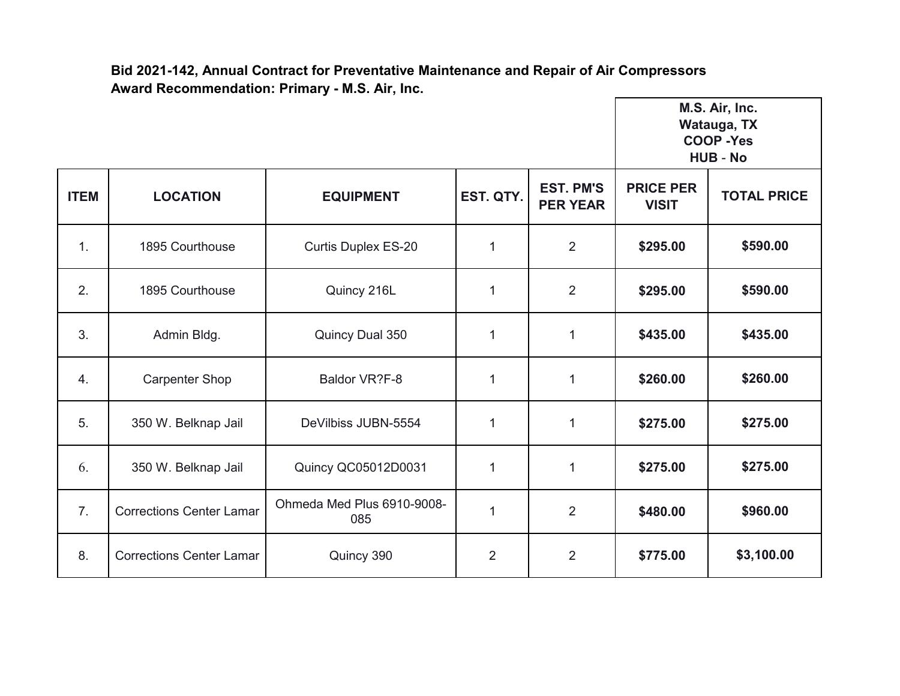**Bid 2021-142, Annual Contract for Preventative Maintenance and Repair of Air Compressors Award Recommendation: Primary - M.S. Air, Inc.** г

|             |                                 |                                   |                |                                     | M.S. Air, Inc.<br>Watauga, TX<br><b>COOP -Yes</b><br><b>HUB - No</b> |                    |
|-------------|---------------------------------|-----------------------------------|----------------|-------------------------------------|----------------------------------------------------------------------|--------------------|
| <b>ITEM</b> | <b>LOCATION</b>                 | <b>EQUIPMENT</b>                  | EST. QTY.      | <b>EST. PM'S</b><br><b>PER YEAR</b> | <b>PRICE PER</b><br><b>VISIT</b>                                     | <b>TOTAL PRICE</b> |
| 1.          | 1895 Courthouse                 | <b>Curtis Duplex ES-20</b>        | 1              | 2                                   | \$295.00                                                             | \$590.00           |
| 2.          | 1895 Courthouse                 | Quincy 216L                       | $\mathbf{1}$   | 2                                   | \$295.00                                                             | \$590.00           |
| 3.          | Admin Bldg.                     | Quincy Dual 350                   | $\mathbf{1}$   | $\mathbf{1}$                        | \$435.00                                                             | \$435.00           |
| 4.          | <b>Carpenter Shop</b>           | Baldor VR?F-8                     | 1              | $\mathbf{1}$                        | \$260.00                                                             | \$260.00           |
| 5.          | 350 W. Belknap Jail             | DeVilbiss JUBN-5554               | 1              | $\mathbf{1}$                        | \$275.00                                                             | \$275.00           |
| 6.          | 350 W. Belknap Jail             | Quincy QC05012D0031               | 1              | $\mathbf{1}$                        | \$275.00                                                             | \$275.00           |
| 7.          | <b>Corrections Center Lamar</b> | Ohmeda Med Plus 6910-9008-<br>085 | 1              | $\overline{2}$                      | \$480.00                                                             | \$960.00           |
| 8.          | <b>Corrections Center Lamar</b> | Quincy 390                        | $\overline{2}$ | $\overline{2}$                      | \$775.00                                                             | \$3,100.00         |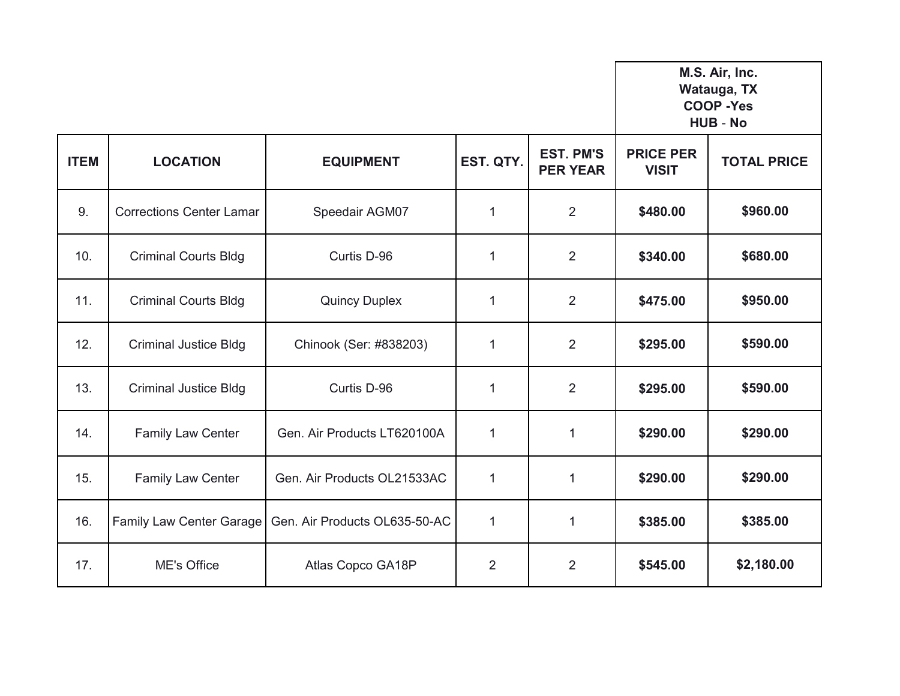**M.S. Air, Inc. Watauga, TX**

## **COOP -Yes HUB** - **No**

| <b>ITEM</b> | <b>LOCATION</b>                 | <b>EQUIPMENT</b>              | EST. QTY.      | <b>EST. PM'S</b><br><b>PER YEAR</b> | <b>PRICE PER</b><br><b>VISIT</b> | <b>TOTAL PRICE</b> |
|-------------|---------------------------------|-------------------------------|----------------|-------------------------------------|----------------------------------|--------------------|
| 9.          | <b>Corrections Center Lamar</b> | Speedair AGM07                | 1              | 2                                   | \$480.00                         | \$960.00           |
| 10.         | <b>Criminal Courts Bldg</b>     | Curtis D-96                   | $\mathbf 1$    | $\overline{2}$                      | \$340.00                         | \$680.00           |
| 11.         | <b>Criminal Courts Bldg</b>     | <b>Quincy Duplex</b>          | $\mathbf 1$    | 2                                   | \$475.00                         | \$950.00           |
| 12.         | <b>Criminal Justice Bldg</b>    | Chinook (Ser: #838203)        | 1              | 2                                   | \$295.00                         | \$590.00           |
| 13.         | <b>Criminal Justice Bldg</b>    | Curtis D-96                   | 1              | $\overline{2}$                      | \$295.00                         | \$590.00           |
| 14.         | <b>Family Law Center</b>        | Gen. Air Products LT620100A   | $\mathbf{1}$   | $\mathbf{1}$                        | \$290.00                         | \$290.00           |
| 15.         | <b>Family Law Center</b>        | Gen. Air Products OL21533AC   | $\mathbf{1}$   | 1                                   | \$290.00                         | \$290.00           |
| 16.         | Family Law Center Garage        | Gen. Air Products OL635-50-AC | $\mathbf 1$    | 1                                   | \$385.00                         | \$385.00           |
| 17.         | <b>ME's Office</b>              | Atlas Copco GA18P             | $\overline{2}$ | $\overline{2}$                      | \$545.00                         | \$2,180.00         |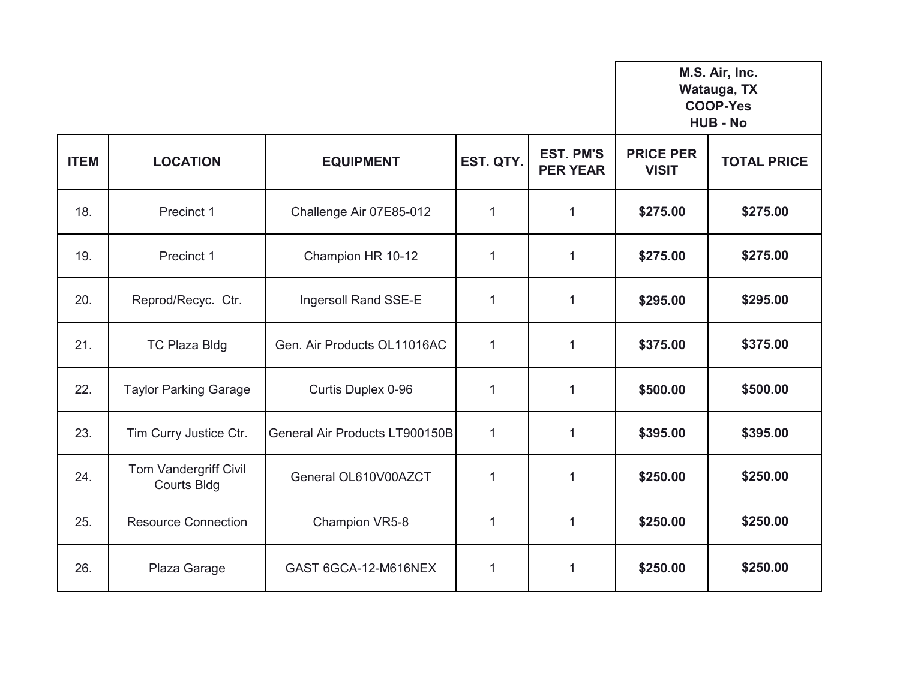**M.S. Air, Inc. Watauga, TX**

## **COOP-Yes HUB - No**

| <b>ITEM</b> | <b>LOCATION</b>                             | <b>EQUIPMENT</b>               | EST. QTY.    | <b>EST. PM'S</b><br><b>PER YEAR</b> | <b>PRICE PER</b><br><b>VISIT</b> | <b>TOTAL PRICE</b> |
|-------------|---------------------------------------------|--------------------------------|--------------|-------------------------------------|----------------------------------|--------------------|
| 18.         | Precinct 1                                  | Challenge Air 07E85-012        | 1            | $\mathbf 1$                         | \$275.00                         | \$275.00           |
| 19.         | Precinct 1                                  | Champion HR 10-12              | $\mathbf{1}$ | $\mathbf 1$                         | \$275.00                         | \$275.00           |
| 20.         | Reprod/Recyc. Ctr.                          | Ingersoll Rand SSE-E           | $\mathbf{1}$ | 1                                   | \$295.00                         | \$295.00           |
| 21.         | <b>TC Plaza Bldg</b>                        | Gen. Air Products OL11016AC    | $\mathbf{1}$ | 1                                   | \$375.00                         | \$375.00           |
| 22.         | <b>Taylor Parking Garage</b>                | Curtis Duplex 0-96             | $\mathbf{1}$ | $\mathbf{1}$                        | \$500.00                         | \$500.00           |
| 23.         | Tim Curry Justice Ctr.                      | General Air Products LT900150B | $\mathbf{1}$ | $\mathbf 1$                         | \$395.00                         | \$395.00           |
| 24.         | Tom Vandergriff Civil<br><b>Courts Bldg</b> | General OL610V00AZCT           | $\mathbf{1}$ | 1                                   | \$250.00                         | \$250.00           |
| 25.         | <b>Resource Connection</b>                  | Champion VR5-8                 | 1            | $\mathbf{1}$                        | \$250.00                         | \$250.00           |
| 26.         | Plaza Garage                                | GAST 6GCA-12-M616NEX           | $\mathbf{1}$ | 1                                   | \$250.00                         | \$250.00           |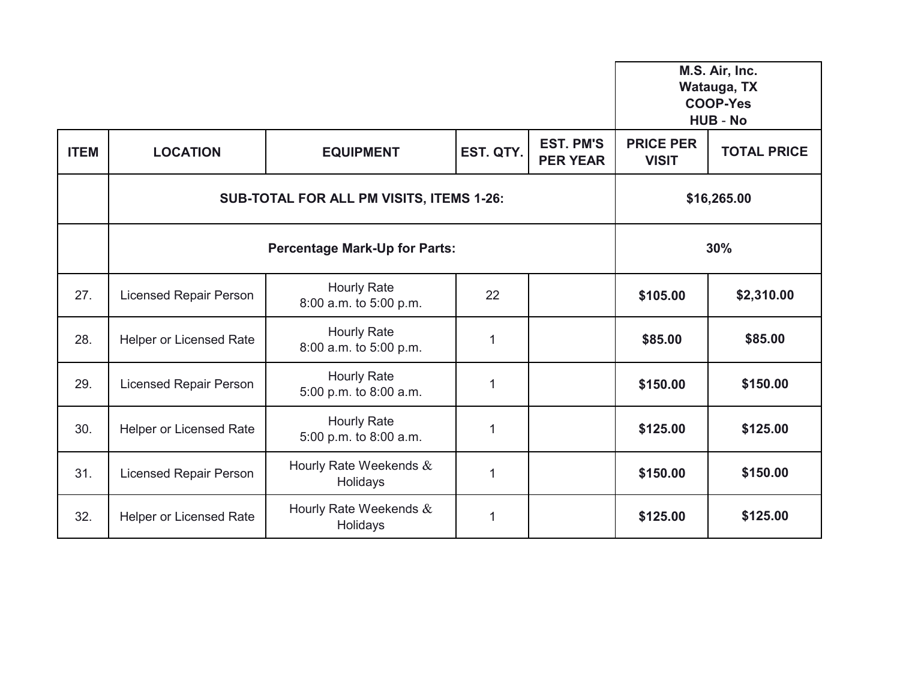|             |                                                 |                                              |             |                                     | M.S. Air, Inc.<br>Watauga, TX<br><b>COOP-Yes</b><br><b>HUB - No</b> |                    |
|-------------|-------------------------------------------------|----------------------------------------------|-------------|-------------------------------------|---------------------------------------------------------------------|--------------------|
| <b>ITEM</b> | <b>LOCATION</b>                                 | <b>EQUIPMENT</b>                             | EST. QTY.   | <b>EST. PM'S</b><br><b>PER YEAR</b> | <b>PRICE PER</b><br><b>VISIT</b>                                    | <b>TOTAL PRICE</b> |
|             | <b>SUB-TOTAL FOR ALL PM VISITS, ITEMS 1-26:</b> |                                              |             |                                     | \$16,265.00                                                         |                    |
|             | <b>Percentage Mark-Up for Parts:</b>            |                                              |             |                                     |                                                                     | 30%                |
| 27.         | <b>Licensed Repair Person</b>                   | <b>Hourly Rate</b><br>8:00 a.m. to 5:00 p.m. | 22          |                                     | \$105.00                                                            | \$2,310.00         |
| 28.         | <b>Helper or Licensed Rate</b>                  | <b>Hourly Rate</b><br>8:00 a.m. to 5:00 p.m. | $\mathbf 1$ |                                     | \$85.00                                                             | \$85.00            |
| 29.         | <b>Licensed Repair Person</b>                   | <b>Hourly Rate</b><br>5:00 p.m. to 8:00 a.m. | 1           |                                     | \$150.00                                                            | \$150.00           |
| 30.         | <b>Helper or Licensed Rate</b>                  | <b>Hourly Rate</b><br>5:00 p.m. to 8:00 a.m. | $\mathbf 1$ |                                     | \$125.00                                                            | \$125.00           |
| 31.         | <b>Licensed Repair Person</b>                   | Hourly Rate Weekends &<br>Holidays           | 1           |                                     | \$150.00                                                            | \$150.00           |
| 32.         | <b>Helper or Licensed Rate</b>                  | Hourly Rate Weekends &<br>Holidays           | $\mathbf 1$ |                                     | \$125.00                                                            | \$125.00           |